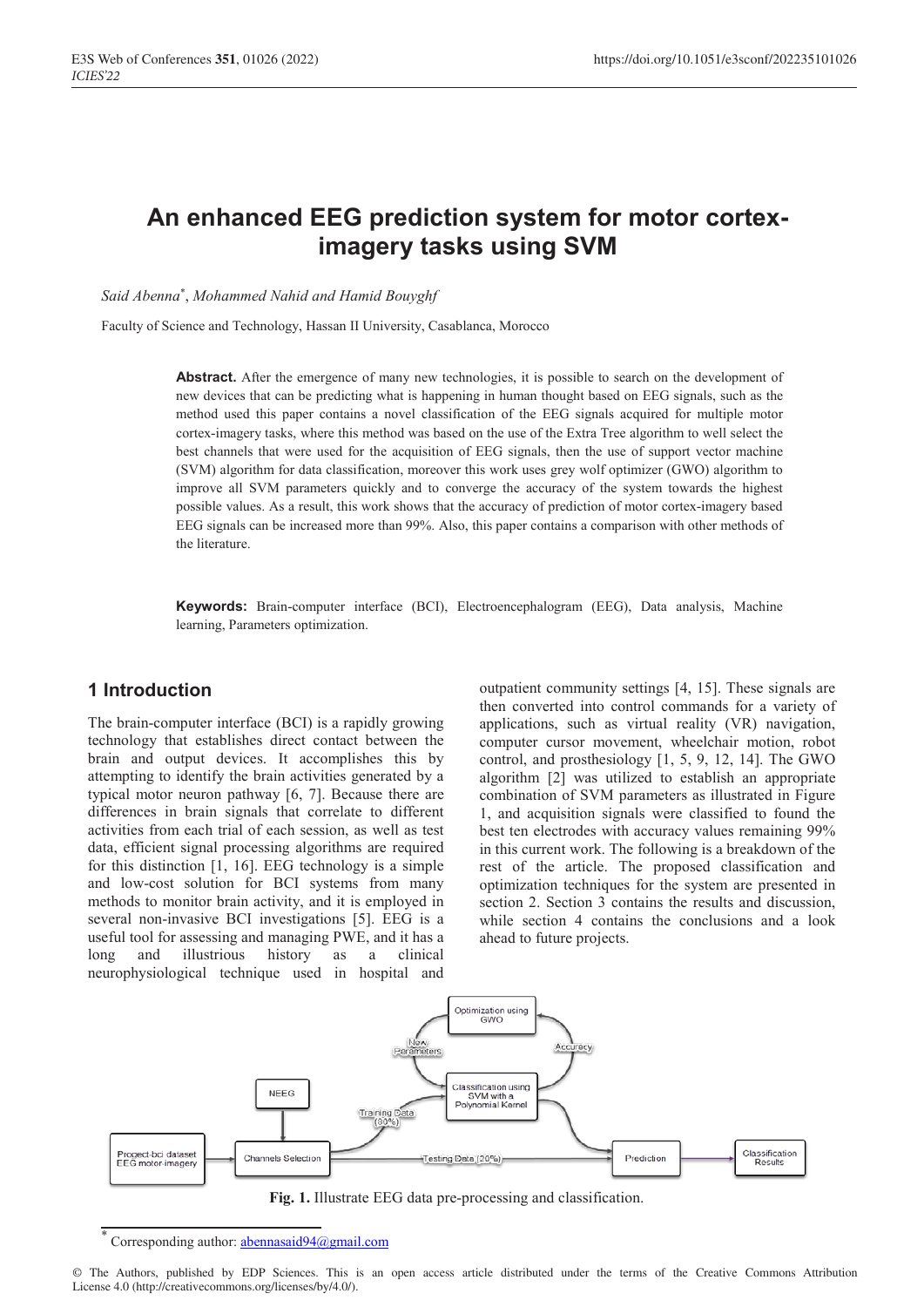# **An enhanced EEG prediction system for motor corteximagery tasks using SVM**

*Said Abenna*\* , *Mohammed Nahid and Hamid Bouyghf*

Faculty of Science and Technology, Hassan II University, Casablanca, Morocco

Abstract. After the emergence of many new technologies, it is possible to search on the development of new devices that can be predicting what is happening in human thought based on EEG signals, such as the method used this paper contains a novel classification of the EEG signals acquired for multiple motor cortex-imagery tasks, where this method was based on the use of the Extra Tree algorithm to well select the best channels that were used for the acquisition of EEG signals, then the use of support vector machine (SVM) algorithm for data classification, moreover this work uses grey wolf optimizer (GWO) algorithm to improve all SVM parameters quickly and to converge the accuracy of the system towards the highest possible values. As a result, this work shows that the accuracy of prediction of motor cortex-imagery based EEG signals can be increased more than 99%. Also, this paper contains a comparison with other methods of the literature.

**Keywords:** Brain-computer interface (BCI), Electroencephalogram (EEG), Data analysis, Machine learning, Parameters optimization.

## **1 Introduction**

The brain-computer interface (BCI) is a rapidly growing technology that establishes direct contact between the brain and output devices. It accomplishes this by attempting to identify the brain activities generated by a typical motor neuron pathway [6, 7]. Because there are differences in brain signals that correlate to different activities from each trial of each session, as well as test data, efficient signal processing algorithms are required for this distinction [1, 16]. EEG technology is a simple and low-cost solution for BCI systems from many methods to monitor brain activity, and it is employed in several non-invasive BCI investigations [5]. EEG is a useful tool for assessing and managing PWE, and it has a long and illustrious history as a clinical neurophysiological technique used in hospital and

outpatient community settings [4, 15]. These signals are then converted into control commands for a variety of applications, such as virtual reality (VR) navigation, computer cursor movement, wheelchair motion, robot control, and prosthesiology [1, 5, 9, 12, 14]. The GWO algorithm [2] was utilized to establish an appropriate combination of SVM parameters as illustrated in Figure 1, and acquisition signals were classified to found the best ten electrodes with accuracy values remaining 99% in this current work. The following is a breakdown of the rest of the article. The proposed classification and optimization techniques for the system are presented in section 2. Section 3 contains the results and discussion, while section 4 contains the conclusions and a look ahead to future projects.



**Fig. 1.** Illustrate EEG data pre-processing and classification.

Corresponding author:  $abennasaid94@gmail.com$ 

<sup>©</sup> The Authors, published by EDP Sciences. This is an open access article distributed under the terms of the Creative Commons Attribution License 4.0 (http://creativecommons.org/licenses/by/4.0/).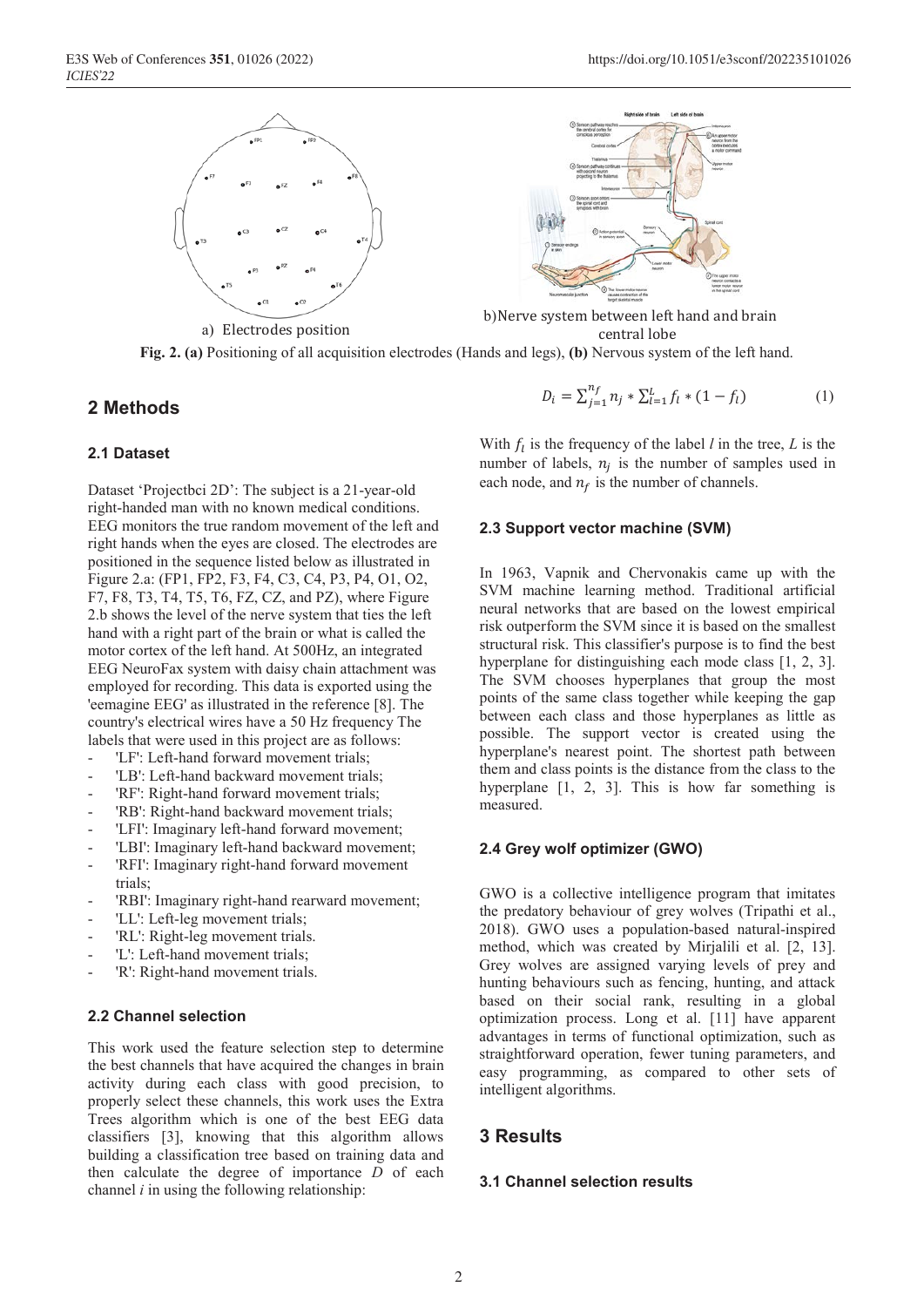







**Fig. 2. (a)** Positioning of all acquisition electrodes (Hands and legs), **(b)** Nervous system of the left hand.

## **2 Methods**

## **2.1 Dataset**

Dataset 'Projectbci 2D': The subject is a 21-year-old right-handed man with no known medical conditions. EEG monitors the true random movement of the left and right hands when the eyes are closed. The electrodes are positioned in the sequence listed below as illustrated in Figure 2.a: (FP1, FP2, F3, F4, C3, C4, P3, P4, O1, O2, F7, F8, T3, T4, T5, T6, FZ, CZ, and PZ), where Figure 2.b shows the level of the nerve system that ties the left hand with a right part of the brain or what is called the motor cortex of the left hand. At 500Hz, an integrated EEG NeuroFax system with daisy chain attachment was employed for recording. This data is exported using the 'eemagine EEG' as illustrated in the reference [8]. The country's electrical wires have a 50 Hz frequency The labels that were used in this project are as follows:

- 'LF': Left-hand forward movement trials;
- 'LB': Left-hand backward movement trials:
- 'RF': Right-hand forward movement trials;
- 'RB': Right-hand backward movement trials;
- 'LFI': Imaginary left-hand forward movement;
- 'LBI': Imaginary left-hand backward movement;
- 'RFI': Imaginary right-hand forward movement trials;
- 'RBI': Imaginary right-hand rearward movement;
- 'LL': Left-leg movement trials;
- 'RL': Right-leg movement trials.
- 'L': Left-hand movement trials:
- 'R': Right-hand movement trials.

## **2.2 Channel selection**

This work used the feature selection step to determine the best channels that have acquired the changes in brain activity during each class with good precision, to properly select these channels, this work uses the Extra Trees algorithm which is one of the best EEG data classifiers [3], knowing that this algorithm allows building a classification tree based on training data and then calculate the degree of importance *D* of each channel *i* in using the following relationship:

$$
D_i = \sum_{j=1}^{n_f} n_j * \sum_{l=1}^{L} f_l * (1 - f_l)
$$
 (1)

With  $f_l$  is the frequency of the label *l* in the tree, *L* is the number of labels,  $n_i$  is the number of samples used in each node, and  $n_f$  is the number of channels.

#### **2.3 Support vector machine (SVM)**

In 1963, Vapnik and Chervonakis came up with the SVM machine learning method. Traditional artificial neural networks that are based on the lowest empirical risk outperform the SVM since it is based on the smallest structural risk. This classifier's purpose is to find the best hyperplane for distinguishing each mode class [1, 2, 3]. The SVM chooses hyperplanes that group the most points of the same class together while keeping the gap between each class and those hyperplanes as little as possible. The support vector is created using the hyperplane's nearest point. The shortest path between them and class points is the distance from the class to the hyperplane [1, 2, 3]. This is how far something is measured.

### **2.4 Grey wolf optimizer (GWO)**

GWO is a collective intelligence program that imitates the predatory behaviour of grey wolves (Tripathi et al., 2018). GWO uses a population-based natural-inspired method, which was created by Mirjalili et al. [2, 13]. Grey wolves are assigned varying levels of prey and hunting behaviours such as fencing, hunting, and attack based on their social rank, resulting in a global optimization process. Long et al. [11] have apparent advantages in terms of functional optimization, such as straightforward operation, fewer tuning parameters, and easy programming, as compared to other sets of intelligent algorithms.

## **3 Results**

#### **3.1 Channel selection results**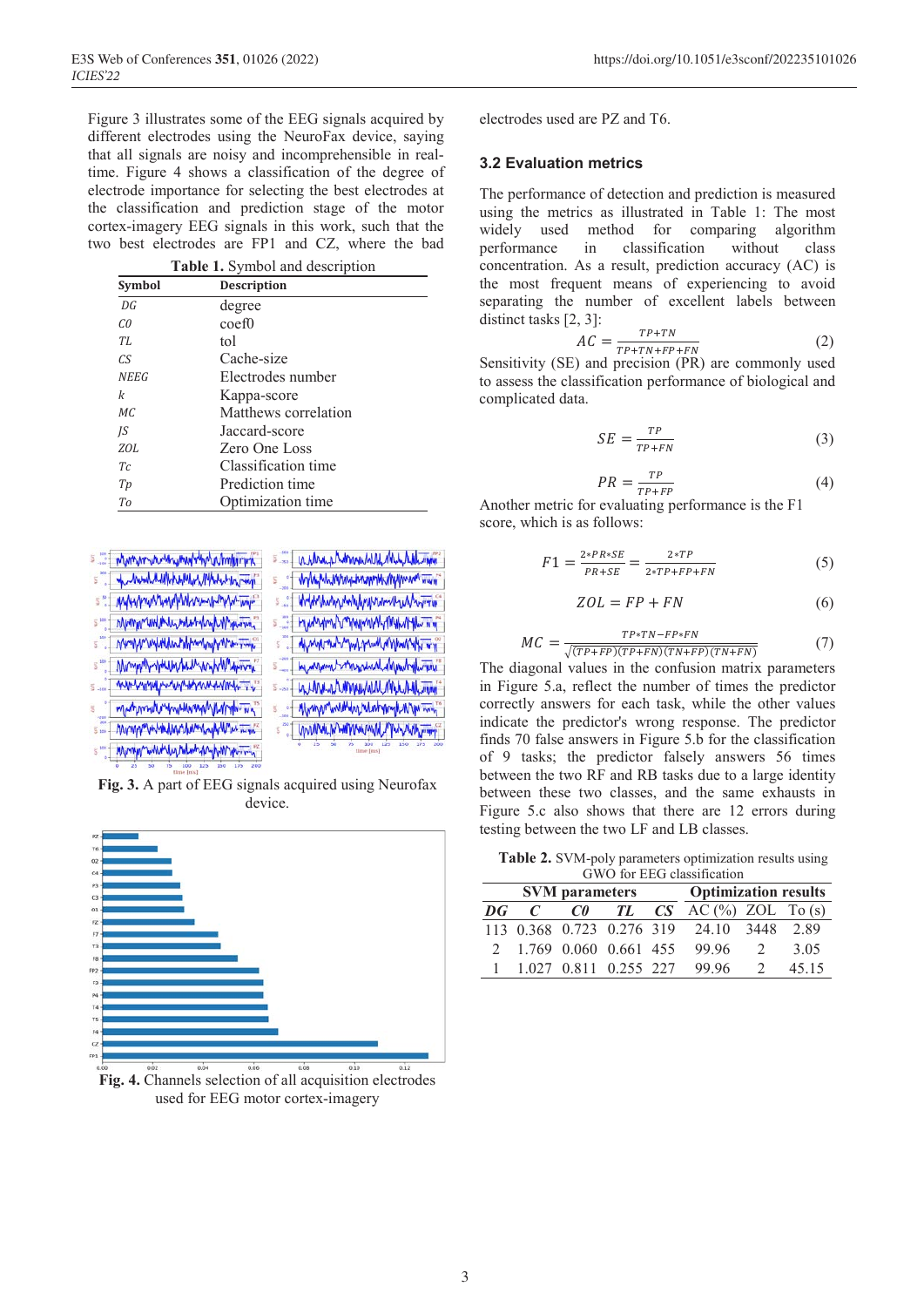Figure 3 illustrates some of the EEG signals acquired by different electrodes using the NeuroFax device, saying that all signals are noisy and incomprehensible in realtime. Figure 4 shows a classification of the degree of electrode importance for selecting the best electrodes at the classification and prediction stage of the motor cortex-imagery EEG signals in this work, such that the two best electrodes are FP1 and CZ, where the bad

| Table 1. Symbol and description |                      |  |  |  |  |
|---------------------------------|----------------------|--|--|--|--|
| Symbol                          | <b>Description</b>   |  |  |  |  |
| DG                              | degree               |  |  |  |  |
| C <sub>0</sub>                  | coef <sub>0</sub>    |  |  |  |  |
| TI.                             | tol                  |  |  |  |  |
| CS <sup>-</sup>                 | Cache-size           |  |  |  |  |
| <b>NEEG</b>                     | Electrodes number    |  |  |  |  |
| k                               | Kappa-score          |  |  |  |  |
| MC                              | Matthews correlation |  |  |  |  |
| IS                              | Jaccard-score        |  |  |  |  |
| ZOL                             | Zero One Loss        |  |  |  |  |
| Tc                              | Classification time  |  |  |  |  |
| Tp                              | Prediction time      |  |  |  |  |
| To                              | Optimization time    |  |  |  |  |

| <b>S  Manya www.waymanyaka/whatami</b> | 5 = AMMushMAMMAMMAMAM                                                                                                                                                                                                                |
|----------------------------------------|--------------------------------------------------------------------------------------------------------------------------------------------------------------------------------------------------------------------------------------|
| S "I demand assignment that the comp"  | s + when when we will work                                                                                                                                                                                                           |
| S" Myhymumhynin muntin m               | S. What have not have a work to                                                                                                                                                                                                      |
| 5 mg hymna unikhin minimbang mana      | <b>E  HYMWHMVWWWWWWWWWWWWW</b>                                                                                                                                                                                                       |
| 5 MMWWWW.MMMMMWWWW.                    | E "I dhank nghymhang a Umarah a l                                                                                                                                                                                                    |
| S " Mayor may have the work work       | S Continued months with the                                                                                                                                                                                                          |
| E  MANYWAM MANAMANAMANA                | S-S   WUWLAAMWAMALMALAHLAM                                                                                                                                                                                                           |
| man multiman man man                   | E . Www.munumbun.hunhyump.num                                                                                                                                                                                                        |
| S  Mymphythiquethermy pulled min       | <b>SEE YOU WANT WANT WANTED TO A THE THE TEAM OF THE TEAM OF THE TEAM OF THE TEAM OF THE TEAM OF THE TEAM OF THE TEAM OF THE TEAM OF THE TEAM OF THE TEAM OF THE TEAM OF THE TEAM OF THE TEAM OF THE TEAM OF THE TEAM OF THE TEA</b> |
| 5 the Mary wild what when we have      | 25 50                                                                                                                                                                                                                                |
| 25 50 75 100 125 150 175               |                                                                                                                                                                                                                                      |

**Fig. 3.** A part of EEG signals acquired using Neurofax device.



**Fig. 4.** Channels selection of all acquisition electrodes used for EEG motor cortex-imagery

electrodes used are PZ and T6.

## **3.2 Evaluation metrics**

The performance of detection and prediction is measured using the metrics as illustrated in Table 1: The most widely used method for comparing algorithm performance in classification without class concentration. As a result, prediction accuracy (AC) is the most frequent means of experiencing to avoid separating the number of excellent labels between distinct tasks [2, 3]:

$$
AC = \frac{TP + TN}{TP + TN + FP + FN}
$$
 (2)

Sensitivity (SE) and precision (PR) are commonly used to assess the classification performance of biological and complicated data.

$$
SE = \frac{TP}{TP + FN} \tag{3}
$$

$$
PR = \frac{TP}{TP + FP}
$$
 (4)

Another metric for evaluating performance is the F1 score, which is as follows:

$$
F1 = \frac{2*PR*SE}{PR+SE} = \frac{2*TP}{2*TP+FP+FN}
$$
 (5)

$$
ZOL = FP + FN \tag{6}
$$

$$
MC = \frac{TP * TN - FP * FN}{\sqrt{(TP + FP)(TP + FN)(TN + FP)(TN + FN)}}
$$
(7)

The diagonal values in the confusion matrix parameters in Figure 5.a, reflect the number of times the predictor correctly answers for each task, while the other values indicate the predictor's wrong response. The predictor finds 70 false answers in Figure 5.b for the classification of 9 tasks; the predictor falsely answers 56 times between the two RF and RB tasks due to a large identity between these two classes, and the same exhausts in Figure 5.c also shows that there are 12 errors during testing between the two LF and LB classes.

**Table 2.** SVM-poly parameters optimization results using GWO for EEG classification

| <b>SVM</b> parameters |                         |  |  |  | <b>Optimization results</b>               |               |       |  |  |
|-----------------------|-------------------------|--|--|--|-------------------------------------------|---------------|-------|--|--|
| DG                    | $\mathcal{C}$           |  |  |  | $C\theta$ TL $CS$ AC(%) ZOL To(s)         |               |       |  |  |
|                       |                         |  |  |  | 113 0.368 0.723 0.276 319 24.10 3448 2.89 |               |       |  |  |
|                       | 2 1.769 0.060 0.661 455 |  |  |  | 99.96                                     |               | 3.05  |  |  |
|                       | 1 1.027 0.811 0.255 227 |  |  |  | 99.96                                     | $\mathcal{D}$ | 45 15 |  |  |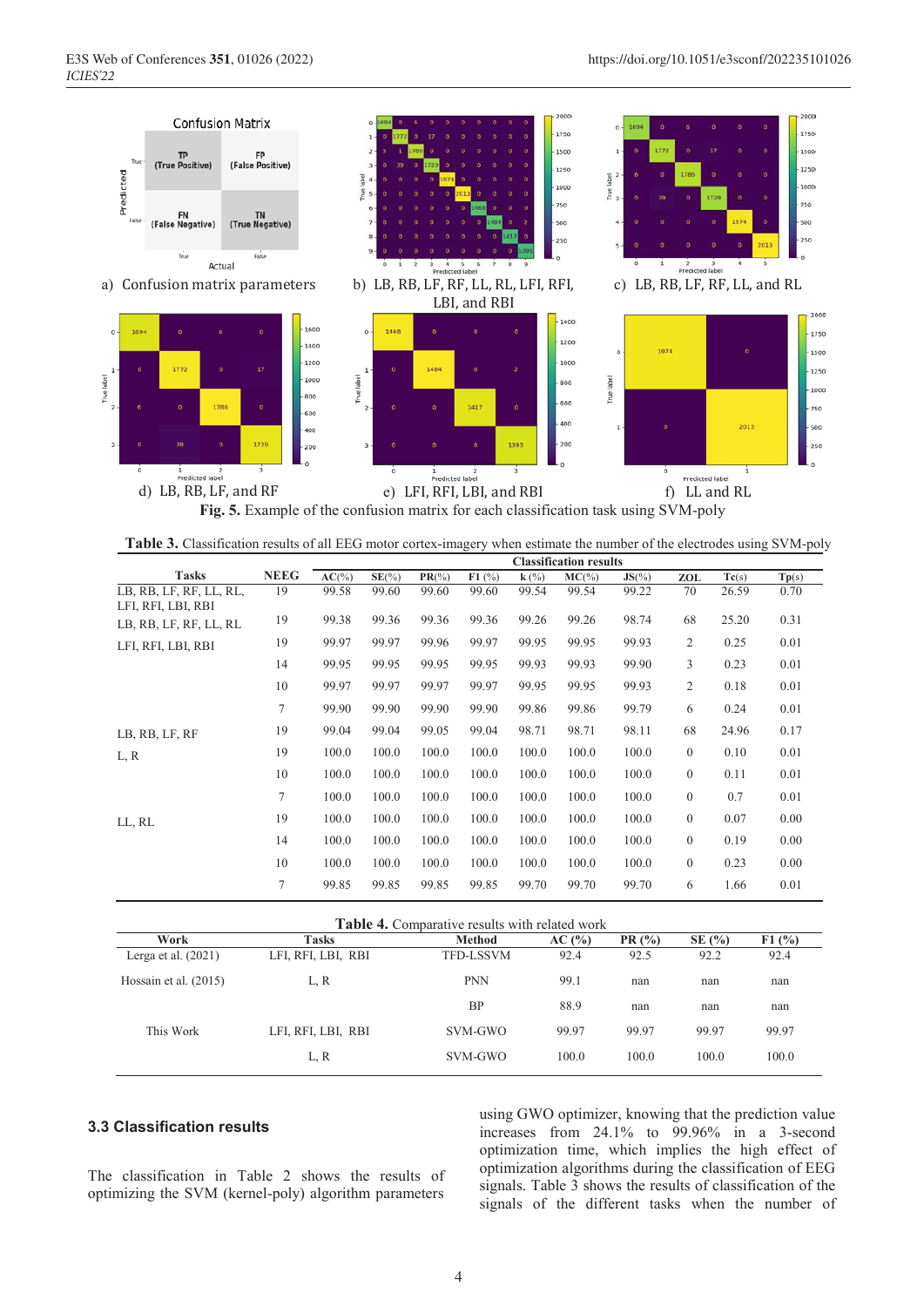

**Table 3.** Classification results of all EEG motor cortex-imagery when estimate the number of the electrodes using SVM-poly

|                                               |                | <b>Classification results</b> |          |           |       |         |          |           |                  |       |                           |
|-----------------------------------------------|----------------|-------------------------------|----------|-----------|-------|---------|----------|-----------|------------------|-------|---------------------------|
| <b>Tasks</b>                                  | <b>NEEG</b>    | $AC(\%)$                      | $SE(\%)$ | $PR(\% )$ | F1(%) | $k(\%)$ | $MC(\%)$ | $JS(\% )$ | ZOL              | Tc(s) | $\mathbf{Tp}(\mathbf{s})$ |
| LB, RB, LF, RF, LL, RL,<br>LFI, RFI, LBI, RBI | 19             | 99.58                         | 99.60    | 99.60     | 99.60 | 99.54   | 99.54    | 99.22     | 70               | 26.59 | 0.70                      |
| LB, RB, LF, RF, LL, RL                        | 19             | 99.38                         | 99.36    | 99.36     | 99.36 | 99.26   | 99.26    | 98.74     | 68               | 25.20 | 0.31                      |
| LFI, RFI, LBI, RBI                            | 19             | 99.97                         | 99.97    | 99.96     | 99.97 | 99.95   | 99.95    | 99.93     | 2                | 0.25  | 0.01                      |
|                                               | 14             | 99.95                         | 99.95    | 99.95     | 99.95 | 99.93   | 99.93    | 99.90     | 3                | 0.23  | 0.01                      |
|                                               | 10             | 99.97                         | 99.97    | 99.97     | 99.97 | 99.95   | 99.95    | 99.93     | 2                | 0.18  | 0.01                      |
|                                               | $\overline{7}$ | 99.90                         | 99.90    | 99.90     | 99.90 | 99.86   | 99.86    | 99.79     | 6                | 0.24  | 0.01                      |
| LB, RB, LF, RF                                | 19             | 99.04                         | 99.04    | 99.05     | 99.04 | 98.71   | 98.71    | 98.11     | 68               | 24.96 | 0.17                      |
| L, R                                          | 19             | 100.0                         | 100.0    | 100.0     | 100.0 | 100.0   | 100.0    | 100.0     | $\mathbf{0}$     | 0.10  | 0.01                      |
|                                               | 10             | 100.0                         | 100.0    | 100.0     | 100.0 | 100.0   | 100.0    | 100.0     | $\mathbf{0}$     | 0.11  | 0.01                      |
|                                               | $\overline{7}$ | 100.0                         | 100.0    | 100.0     | 100.0 | 100.0   | 100.0    | 100.0     | $\mathbf{0}$     | 0.7   | 0.01                      |
| LL, RL                                        | 19             | 100.0                         | 100.0    | 100.0     | 100.0 | 100.0   | 100.0    | 100.0     | $\mathbf{0}$     | 0.07  | 0.00                      |
|                                               | 14             | 100.0                         | 100.0    | 100.0     | 100.0 | 100.0   | 100.0    | 100.0     | $\mathbf{0}$     | 0.19  | 0.00                      |
|                                               | 10             | 100.0                         | 100.0    | 100.0     | 100.0 | 100.0   | 100.0    | 100.0     | $\boldsymbol{0}$ | 0.23  | 0.00                      |
|                                               | 7              | 99.85                         | 99.85    | 99.85     | 99.85 | 99.70   | 99.70    | 99.70     | 6                | 1.66  | 0.01                      |
|                                               |                |                               |          |           |       |         |          |           |                  |       |                           |

| <b>Table 4.</b> Comparative results with related work |                    |                  |       |       |         |       |  |  |
|-------------------------------------------------------|--------------------|------------------|-------|-------|---------|-------|--|--|
| Work                                                  | <b>Tasks</b>       | Method           | AC(%) | PR(%) | SE $(%$ | F1(%) |  |  |
| Lerga et al. $(2021)$                                 | LFI, RFI, LBI, RBI | <b>TFD-LSSVM</b> | 92.4  | 92.5  | 92.2    | 92.4  |  |  |
| Hossain et al. $(2015)$                               | L, R               | <b>PNN</b>       | 99.1  | nan   | nan     | nan   |  |  |
|                                                       |                    | <b>BP</b>        | 88.9  | nan   | nan     | nan   |  |  |
| This Work                                             | LFI, RFI, LBI, RBI | SVM-GWO          | 99.97 | 99.97 | 99.97   | 99.97 |  |  |
|                                                       | L, R               | SVM-GWO          | 100.0 | 100.0 | 100.0   | 100.0 |  |  |

## **3.3 Classification results**

The classification in Table 2 shows the results of optimizing the SVM (kernel-poly) algorithm parameters

using GWO optimizer, knowing that the prediction value increases from 24.1% to 99.96% in a 3-second optimization time, which implies the high effect of optimization algorithms during the classification of EEG signals. Table 3 shows the results of classification of the signals of the different tasks when the number of